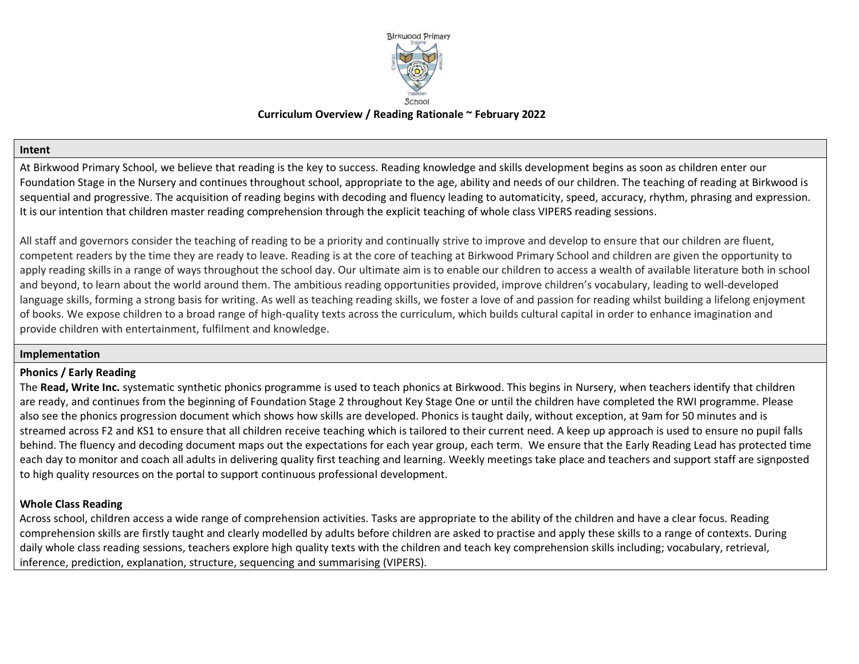

# **Curriculum Overview / Reading Rationale ~ February 2022**

#### **Intent**

At Birkwood Primary School, we believe that reading is the key to success. Reading knowledge and skills development begins as soon as children enter our Foundation Stage in the Nursery and continues throughout school, appropriate to the age, ability and needs of our children. The teaching of reading at Birkwood is sequential and progressive. The acquisition of reading begins with decoding and fluency leading to automaticity, speed, accuracy, rhythm, phrasing and expression. It is our intention that children master reading comprehension through the explicit teaching of whole class VIPERS reading sessions.

All staff and governors consider the teaching of reading to be a priority and continually strive to improve and develop to ensure that our children are fluent, competent readers by the time they are ready to leave. Reading is at the core of teaching at Birkwood Primary School and children are given the opportunity to apply reading skills in a range of ways throughout the school day. Our ultimate aim is to enable our children to access a wealth of available literature both in school and beyond, to learn about the world around them. The ambitious reading opportunities provided, improve children's vocabulary, leading to well-developed language skills, forming a strong basis for writing. As well as teaching reading skills, we foster a love of and passion for reading whilst building a lifelong enjoyment of books. We expose children to a broad range of high-quality texts across the curriculum, which builds cultural capital in order to enhance imagination and provide children with entertainment, fulfilment and knowledge.

#### **Implementation**

### **Phonics / Early Reading**

The **Read, Write Inc.** systematic synthetic phonics programme is used to teach phonics at Birkwood. This begins in Nursery, when teachers identify that children are ready, and continues from the beginning of Foundation Stage 2 throughout Key Stage One or until the children have completed the RWI programme. Please also see the phonics progression document which shows how skills are developed. Phonics is taught daily, without exception, at 9am for 50 minutes and is streamed across F2 and KS1 to ensure that all children receive teaching which is tailored to their current need. A keep up approach is used to ensure no pupil falls behind. The fluency and decoding document maps out the expectations for each year group, each term. We ensure that the Early Reading Lead has protected time each day to monitor and coach all adults in delivering quality first teaching and learning. Weekly meetings take place and teachers and support staff are signposted to high quality resources on the portal to support continuous professional development.

### **Whole Class Reading**

Across school, children access a wide range of comprehension activities. Tasks are appropriate to the ability of the children and have a clear focus. Reading comprehension skills are firstly taught and clearly modelled by adults before children are asked to practise and apply these skills to a range of contexts. During daily whole class reading sessions, teachers explore high quality texts with the children and teach key comprehension skills including; vocabulary, retrieval, inference, prediction, explanation, structure, sequencing and summarising (VIPERS).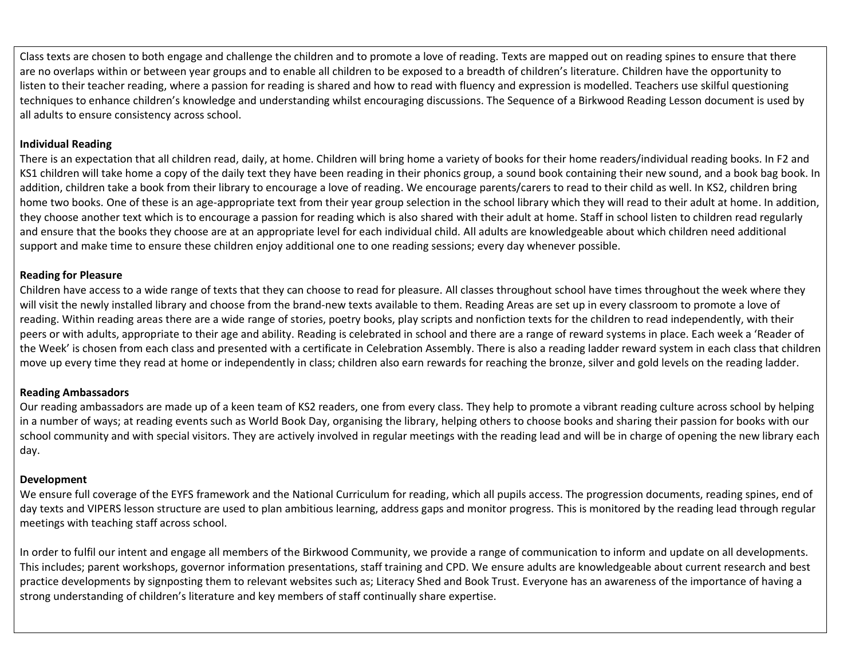Class texts are chosen to both engage and challenge the children and to promote a love of reading. Texts are mapped out on reading spines to ensure that there are no overlaps within or between year groups and to enable all children to be exposed to a breadth of children's literature. Children have the opportunity to listen to their teacher reading, where a passion for reading is shared and how to read with fluency and expression is modelled. Teachers use skilful questioning techniques to enhance children's knowledge and understanding whilst encouraging discussions. The Sequence of a Birkwood Reading Lesson document is used by all adults to ensure consistency across school.

## **Individual Reading**

There is an expectation that all children read, daily, at home. Children will bring home a variety of books for their home readers/individual reading books. In F2 and KS1 children will take home a copy of the daily text they have been reading in their phonics group, a sound book containing their new sound, and a book bag book. In addition, children take a book from their library to encourage a love of reading. We encourage parents/carers to read to their child as well. In KS2, children bring home two books. One of these is an age-appropriate text from their year group selection in the school library which they will read to their adult at home. In addition, they choose another text which is to encourage a passion for reading which is also shared with their adult at home. Staff in school listen to children read regularly and ensure that the books they choose are at an appropriate level for each individual child. All adults are knowledgeable about which children need additional support and make time to ensure these children enjoy additional one to one reading sessions; every day whenever possible.

### **Reading for Pleasure**

Children have access to a wide range of texts that they can choose to read for pleasure. All classes throughout school have times throughout the week where they will visit the newly installed library and choose from the brand-new texts available to them. Reading Areas are set up in every classroom to promote a love of reading. Within reading areas there are a wide range of stories, poetry books, play scripts and nonfiction texts for the children to read independently, with their peers or with adults, appropriate to their age and ability. Reading is celebrated in school and there are a range of reward systems in place. Each week a 'Reader of the Week' is chosen from each class and presented with a certificate in Celebration Assembly. There is also a reading ladder reward system in each class that children move up every time they read at home or independently in class; children also earn rewards for reaching the bronze, silver and gold levels on the reading ladder.

# **Reading Ambassadors**

Our reading ambassadors are made up of a keen team of KS2 readers, one from every class. They help to promote a vibrant reading culture across school by helping in a number of ways; at reading events such as World Book Day, organising the library, helping others to choose books and sharing their passion for books with our school community and with special visitors. They are actively involved in regular meetings with the reading lead and will be in charge of opening the new library each day.

# **Development**

We ensure full coverage of the EYFS framework and the National Curriculum for reading, which all pupils access. The progression documents, reading spines, end of day texts and VIPERS lesson structure are used to plan ambitious learning, address gaps and monitor progress. This is monitored by the reading lead through regular meetings with teaching staff across school.

In order to fulfil our intent and engage all members of the Birkwood Community, we provide a range of communication to inform and update on all developments. This includes; parent workshops, governor information presentations, staff training and CPD. We ensure adults are knowledgeable about current research and best practice developments by signposting them to relevant websites such as; Literacy Shed and Book Trust. Everyone has an awareness of the importance of having a strong understanding of children's literature and key members of staff continually share expertise.